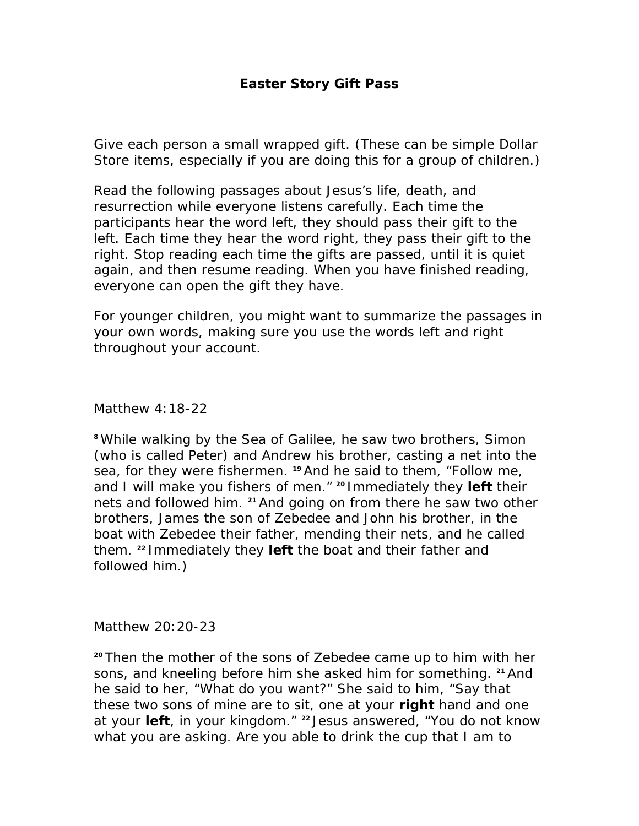## **Easter Story Gift Pass**

Give each person a small wrapped gift. (These can be simple Dollar Store items, especially if you are doing this for a group of children.)

Read the following passages about Jesus's life, death, and resurrection while everyone listens carefully. Each time the participants hear the word *left,* they should pass their gift to the left. Each time they hear the word *right,* they pass their gift to the right. Stop reading each time the gifts are passed, until it is quiet again, and then resume reading. When you have finished reading, everyone can open the gift they have.

For younger children, you might want to summarize the passages in your own words, making sure you use the words *left* and *right*  throughout your account.

Matthew 4:18-22

*<sup>8</sup>While walking by the Sea of Galilee, he saw two brothers, Simon (who is called Peter) and Andrew his brother, casting a net into the sea, for they were fishermen. 19 And he said to them, "Follow me, and I will make you fishers of men." 20 Immediately they left their nets and followed him. 21 And going on from there he saw two other brothers, James the son of Zebedee and John his brother, in the boat with Zebedee their father, mending their nets, and he called them. 22 Immediately they left the boat and their father and followed him.)* 

Matthew 20:20-23

*<sup>20</sup>Then the mother of the sons of Zebedee came up to him with her sons, and kneeling before him she asked him for something. 21 And he said to her, "What do you want?" She said to him, "Say that these two sons of mine are to sit, one at your right hand and one at your left, in your kingdom." 22 Jesus answered, "You do not know what you are asking. Are you able to drink the cup that I am to*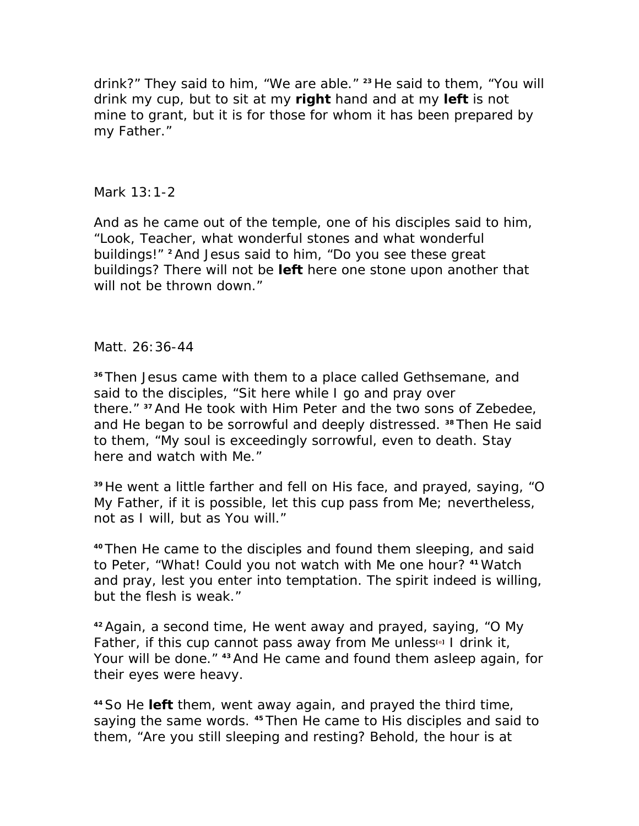*drink?" They said to him, "We are able." 23 He said to them, "You will drink my cup, but to sit at my right hand and at my left is not mine to grant, but it is for those for whom it has been prepared by my Father."* 

## Mark 13:1-2

*And as he came out of the temple, one of his disciples said to him, "Look, Teacher, what wonderful stones and what wonderful buildings!" 2 And Jesus said to him, "Do you see these great buildings? There will not be left here one stone upon another that will not be thrown down."* 

## Matt. 26:36-44

*<sup>36</sup>Then Jesus came with them to a place called Gethsemane, and said to the disciples, "Sit here while I go and pray over there." 37 And He took with Him Peter and the two sons of Zebedee, and He began to be sorrowful and deeply distressed. 38 Then He said to them, "My soul is exceedingly sorrowful, even to death. Stay here and watch with Me."* 

*<sup>39</sup>He went a little farther and fell on His face, and prayed, saying, "O My Father, if it is possible, let this cup pass from Me; nevertheless, not as I will, but as You will."* 

*<sup>40</sup>Then He came to the disciples and found them sleeping, and said to Peter, "What! Could you not watch with Me one hour? 41 Watch and pray, lest you enter into temptation. The spirit indeed is willing, but the flesh is weak."* 

*<sup>42</sup>Again, a second time, He went away and prayed, saying, "O My Father, if this cup cannot pass away from Me unless[e] I drink it, Your will be done." 43 And He came and found them asleep again, for their eyes were heavy.* 

*<sup>44</sup>So He left them, went away again, and prayed the third time, saying the same words. 45 Then He came to His disciples and said to them, "Are you still sleeping and resting? Behold, the hour is at*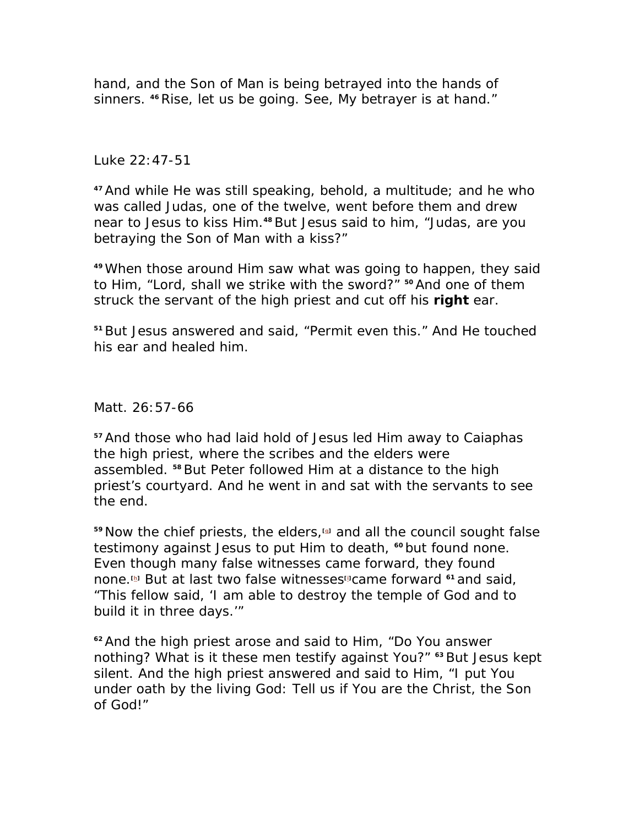*hand, and the Son of Man is being betrayed into the hands of sinners. 46 Rise, let us be going. See, My betrayer is at hand."* 

## Luke 22:47-51

*<sup>47</sup>And while He was still speaking, behold, a multitude; and he who was called Judas, one of the twelve, went before them and drew near to Jesus to kiss Him.48 But Jesus said to him, "Judas, are you betraying the Son of Man with a kiss?"* 

*<sup>49</sup>When those around Him saw what was going to happen, they said to Him, "Lord, shall we strike with the sword?" 50 And one of them struck the servant of the high priest and cut off his right ear.* 

*<sup>51</sup>But Jesus answered and said, "Permit even this." And He touched his ear and healed him.* 

Matt. 26:57-66

*<sup>57</sup>And those who had laid hold of Jesus led Him away to Caiaphas the high priest, where the scribes and the elders were assembled. 58 But Peter followed Him at a distance to the high priest's courtyard. And he went in and sat with the servants to see the end.* 

*<sup>59</sup>Now the chief priests, the elders,[g] and all the council sought false testimony against Jesus to put Him to death, 60 but found none. Even though many false witnesses came forward, they found none.[h] But at last two false witnesses[i] came forward 61 and said, "This fellow said, 'I am able to destroy the temple of God and to build it in three days.'"* 

*<sup>62</sup>And the high priest arose and said to Him, "Do You answer nothing? What is it these men testify against You?" 63 But Jesus kept silent. And the high priest answered and said to Him, "I put You under oath by the living God: Tell us if You are the Christ, the Son of God!"*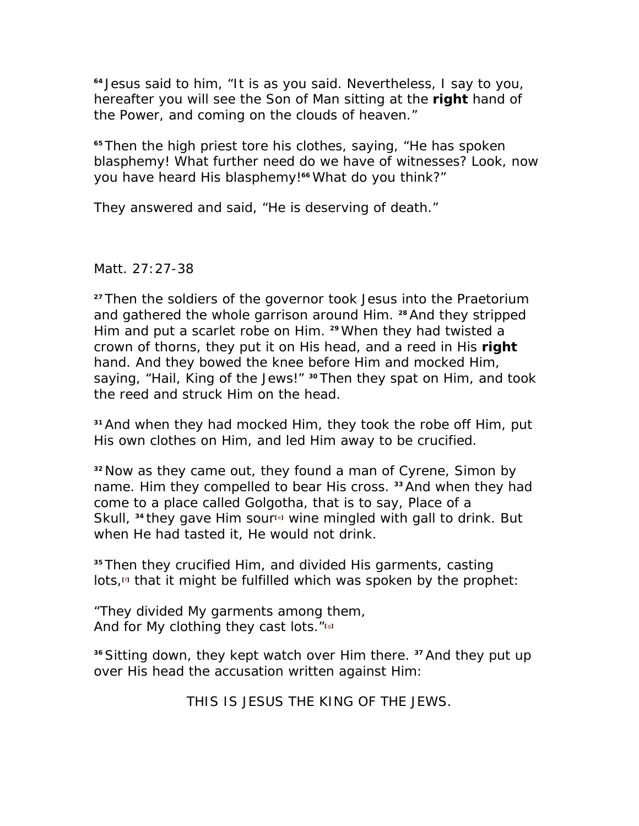*<sup>64</sup>Jesus said to him, "It is as you said. Nevertheless, I say to you, hereafter you will see the Son of Man sitting at the right hand of the Power, and coming on the clouds of heaven."* 

*<sup>65</sup>Then the high priest tore his clothes, saying, "He has spoken blasphemy! What further need do we have of witnesses? Look, now you have heard His blasphemy!66 What do you think?"* 

*They answered and said, "He is deserving of death."* 

Matt. 27:27-38

*<sup>27</sup>Then the soldiers of the governor took Jesus into the Praetorium and gathered the whole garrison around Him. 28 And they stripped Him and put a scarlet robe on Him. 29 When they had twisted a crown of thorns, they put it on His head, and a reed in His right hand. And they bowed the knee before Him and mocked Him, saying, "Hail, King of the Jews!" 30 Then they spat on Him, and took the reed and struck Him on the head.* 

*<sup>31</sup>And when they had mocked Him, they took the robe off Him, put His own clothes on Him, and led Him away to be crucified.* 

*<sup>32</sup>Now as they came out, they found a man of Cyrene, Simon by name. Him they compelled to bear His cross. 33 And when they had come to a place called Golgotha, that is to say, Place of a Skull, 34 they gave Him sour[e] wine mingled with gall to drink. But when He had tasted it, He would not drink.* 

*<sup>35</sup>Then they crucified Him, and divided His garments, casting*  lots,<sup>*m*</sup> that it might be fulfilled which was spoken by the prophet:

*"They divided My garments among them, And for My clothing they cast lots."[g]*

*<sup>36</sup>Sitting down, they kept watch over Him there. 37 And they put up over His head the accusation written against Him:* 

*THIS IS JESUS THE KING OF THE JEWS.*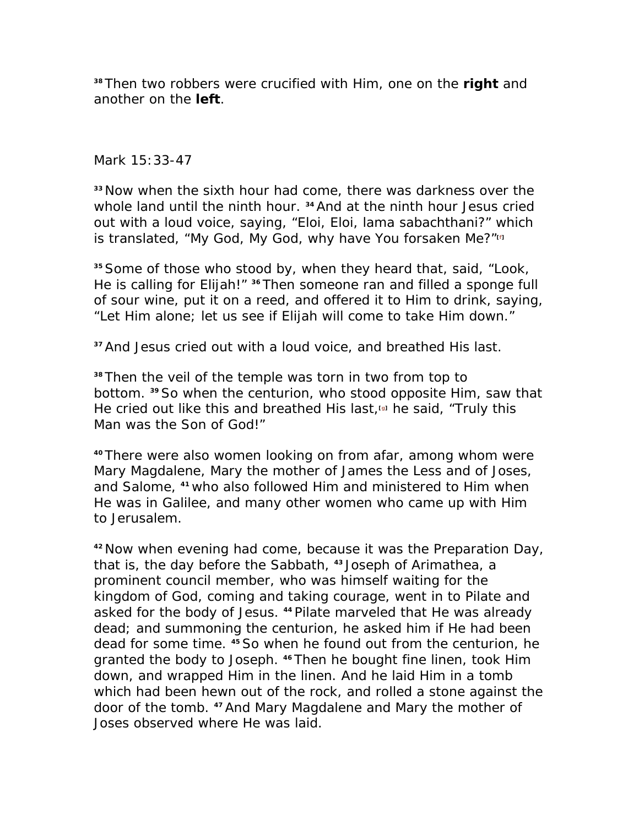*<sup>38</sup>Then two robbers were crucified with Him, one on the right and another on the left.* 

Mark 15:33-47

*<sup>33</sup>Now when the sixth hour had come, there was darkness over the whole land until the ninth hour. 34 And at the ninth hour Jesus cried out with a loud voice, saying, "Eloi, Eloi, lama sabachthani?" which is translated, "My God, My God, why have You forsaken Me?"[f]*

*<sup>35</sup>Some of those who stood by, when they heard that, said, "Look, He is calling for Elijah!" 36 Then someone ran and filled a sponge full of sour wine, put it on a reed, and offered it to Him to drink, saying, "Let Him alone; let us see if Elijah will come to take Him down."* 

*<sup>37</sup>And Jesus cried out with a loud voice, and breathed His last.* 

*<sup>38</sup>Then the veil of the temple was torn in two from top to bottom. 39 So when the centurion, who stood opposite Him, saw that He cried out like this and breathed His last,[g] he said, "Truly this Man was the Son of God!"* 

*<sup>40</sup>There were also women looking on from afar, among whom were Mary Magdalene, Mary the mother of James the Less and of Joses, and Salome, 41 who also followed Him and ministered to Him when He was in Galilee, and many other women who came up with Him to Jerusalem.* 

*<sup>42</sup>Now when evening had come, because it was the Preparation Day, that is, the day before the Sabbath, 43 Joseph of Arimathea, a prominent council member, who was himself waiting for the kingdom of God, coming and taking courage, went in to Pilate and asked for the body of Jesus. 44 Pilate marveled that He was already dead; and summoning the centurion, he asked him if He had been dead for some time. 45 So when he found out from the centurion, he granted the body to Joseph. 46 Then he bought fine linen, took Him down, and wrapped Him in the linen. And he laid Him in a tomb which had been hewn out of the rock, and rolled a stone against the door of the tomb. 47 And Mary Magdalene and Mary the mother of Joses observed where He was laid.*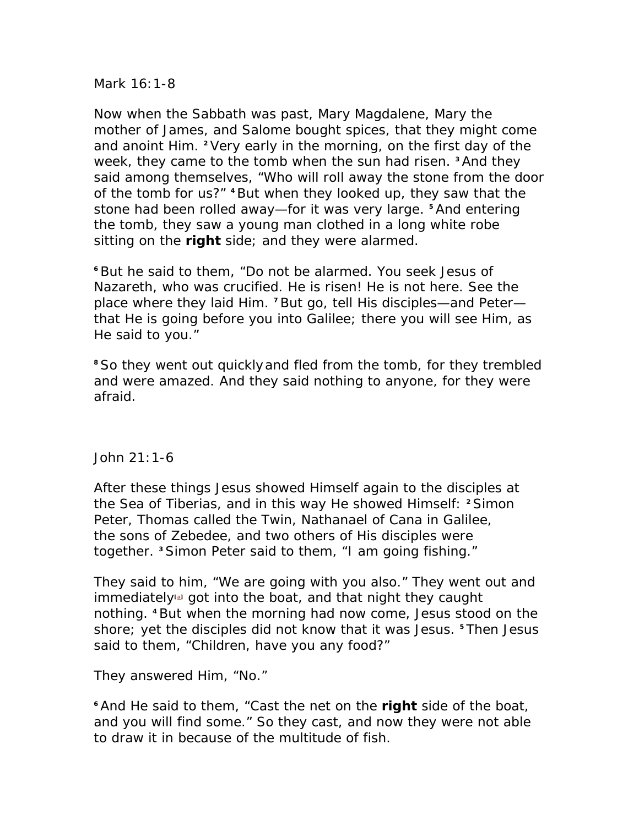Mark 16:1-8

*Now when the Sabbath was past, Mary Magdalene, Mary the mother of James, and Salome bought spices, that they might come and anoint Him. 2 Very early in the morning, on the first day of the week, they came to the tomb when the sun had risen. 3 And they said among themselves, "Who will roll away the stone from the door of the tomb for us?" 4 But when they looked up, they saw that the stone had been rolled away—for it was very large. 5 And entering the tomb, they saw a young man clothed in a long white robe sitting on the right side; and they were alarmed.* 

*<sup>6</sup>But he said to them, "Do not be alarmed. You seek Jesus of Nazareth, who was crucified. He is risen! He is not here. See the place where they laid Him. 7 But go, tell His disciples—and Peter that He is going before you into Galilee; there you will see Him, as He said to you."* 

*<sup>8</sup>So they went out quicklyand fled from the tomb, for they trembled and were amazed. And they said nothing to anyone, for they were afraid.* 

John 21:1-6

*After these things Jesus showed Himself again to the disciples at the Sea of Tiberias, and in this way He showed Himself: 2 Simon Peter, Thomas called the Twin, Nathanael of Cana in Galilee, the sons of Zebedee, and two others of His disciples were together. 3 Simon Peter said to them, "I am going fishing."* 

*They said to him, "We are going with you also." They went out and immediately<sup>a</sup>* got into the boat, and that night they caught *nothing. 4 But when the morning had now come, Jesus stood on the shore; yet the disciples did not know that it was Jesus. 5 Then Jesus said to them, "Children, have you any food?"* 

*They answered Him, "No."* 

*<sup>6</sup>And He said to them, "Cast the net on the right side of the boat, and you will find some." So they cast, and now they were not able to draw it in because of the multitude of fish.*